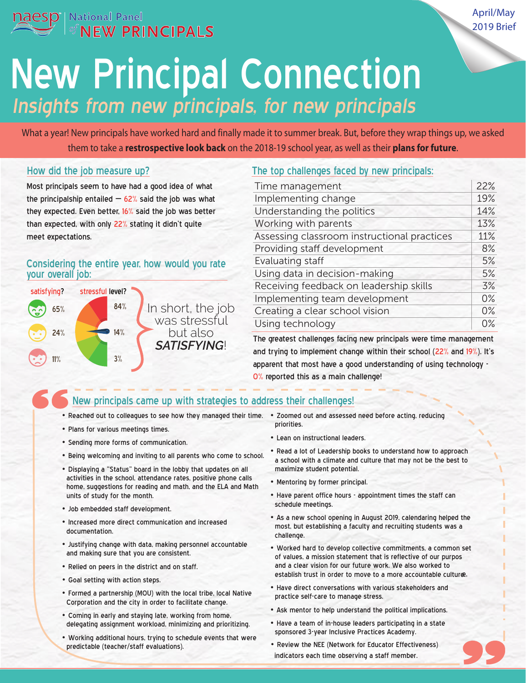

April/May 2019 Brief

# Insights from new principals, for new principals New Principal Connection

What a year! New principals have worked hard and finally made it to summer break. But, before they wrap things up, we asked them to take a **restrospective look back** on the 2018-19 school year, as well as their **plans for future**.

#### How did the job measure up?

Most principals seem to have had a good idea of what the principalship entailed  $-62%$  said the job was what they expected. Even better, 16% said the job was better than expected, with only 22% stating it didn't quite meet expectations.

#### Considering the entire year, how would you rate your overall job:



#### The top challenges faced by new principals:

| Time management                             | 22%   |
|---------------------------------------------|-------|
| Implementing change                         | 19%   |
| Understanding the politics                  | 14%   |
| Working with parents                        | 13%   |
| Assessing classroom instructional practices | 11%   |
| Providing staff development                 | 8%    |
| Evaluating staff                            | 5%    |
| Using data in decision-making               | 5%    |
| Receiving feedback on leadership skills     | 3%    |
| Implementing team development               | $0\%$ |
| Creating a clear school vision              | 0%    |
| Using technology                            | $0\%$ |

The greatest challenges facing new principals were time management and trying to implement change within their school (22% and 19%). It's apparent that most have a good understanding of using technology -0% reported this as a main challenge!

### New principals came up with strategies to address their challenges!

- Reached out to colleagues to see how they managed their time. Zoomed out and assessed need before acting, reducing
- Plans for various meetings times.
- Sending more forms of communication.
- Being welcoming and inviting to all parents who come to school.
- Displaying a "Status" board in the lobby that updates on all activities in the school, attendance rates, positive phone calls home, suggestions for reading and math, and the ELA and Math units of study for the month.
- Job embedded staff development.
- Increased more direct communication and increased documentation.
- Justifying change with data, making personnel accountable and making sure that you are consistent.
- Relied on peers in the district and on staff.
- Goal setting with action steps.
- Formed a partnership (MOU) with the local tribe, local Native Corporation and the city in order to facilitate change.
- Coming in early and staying late, working from home, delegating assignment workload, minimizing and prioritizing.
- Working additional hours, trying to schedule events that were predictable (teacher/staff evaluations).
- priorities.
- Lean on instructional leaders.
- echool. a school with a climate and culture that may not be the best to • Read a lot of Leadership books to understand how to approach maximize student potential.
	- Mentoring by former principal.
	- Have parent office hours appointment times the staff can schedule meetings.
	- As a new school opening in August 2019, calendaring helped the most, but establishing a faculty and recruiting students was a challenge.
	- Worked hard to develop collective commitments, a common set of values, a mission statement that is reflective of our purpos establish trust in order to move to a more accountable culture. and a clear vision for our future work. We also worked to
	- Have direct conversations with various stakeholders and practice self-care to manage stress.
	- Ask mentor to help understand the political implications.
	- Have a team of in-house leaders participating in a state sponsored 3-year Inclusive Practices Academy.
	- Review the NEE (Network for Educator Effectiveness) indicators each time observing a staff member.